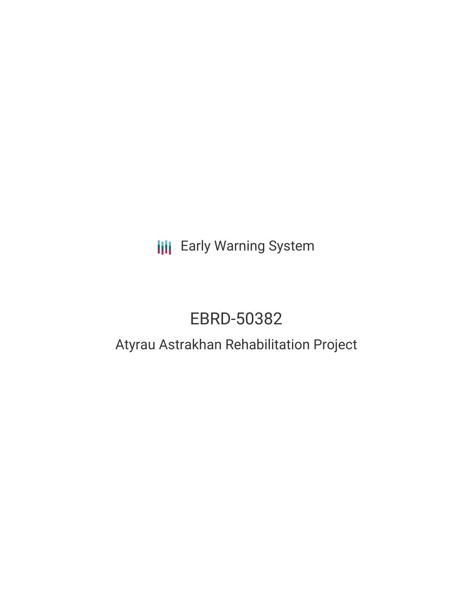# **III** Early Warning System

# EBRD-50382

## Atyrau Astrakhan Rehabilitation Project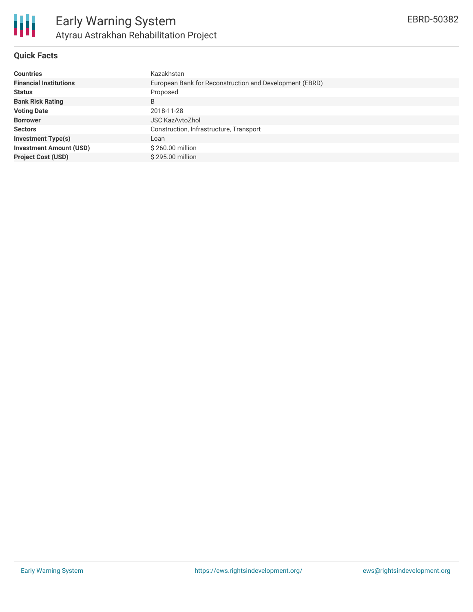

#### **Quick Facts**

| <b>Countries</b>               | Kazakhstan                                              |
|--------------------------------|---------------------------------------------------------|
| <b>Financial Institutions</b>  | European Bank for Reconstruction and Development (EBRD) |
| <b>Status</b>                  | Proposed                                                |
| <b>Bank Risk Rating</b>        | B                                                       |
| <b>Voting Date</b>             | 2018-11-28                                              |
| <b>Borrower</b>                | <b>JSC KazAvtoZhol</b>                                  |
| <b>Sectors</b>                 | Construction, Infrastructure, Transport                 |
| <b>Investment Type(s)</b>      | Loan                                                    |
| <b>Investment Amount (USD)</b> | \$260.00 million                                        |
| <b>Project Cost (USD)</b>      | \$295.00 million                                        |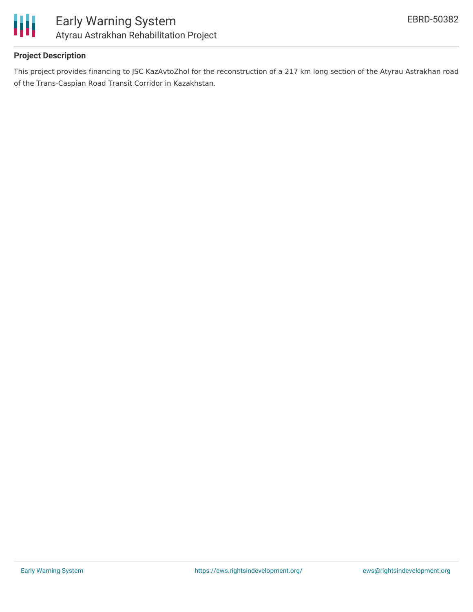

#### **Project Description**

This project provides financing to JSC KazAvtoZhol for the reconstruction of a 217 km long section of the Atyrau Astrakhan road of the Trans-Caspian Road Transit Corridor in Kazakhstan.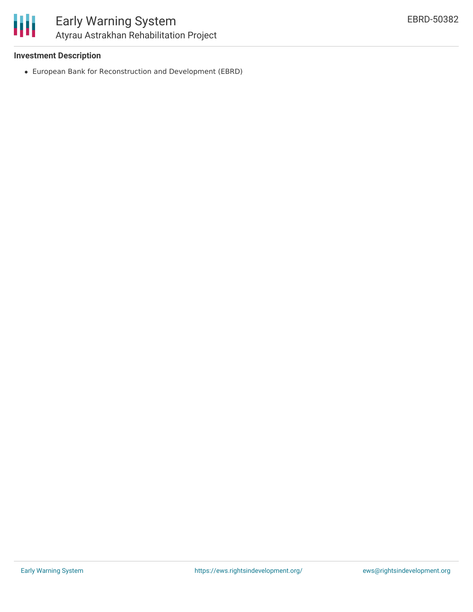#### **Investment Description**

European Bank for Reconstruction and Development (EBRD)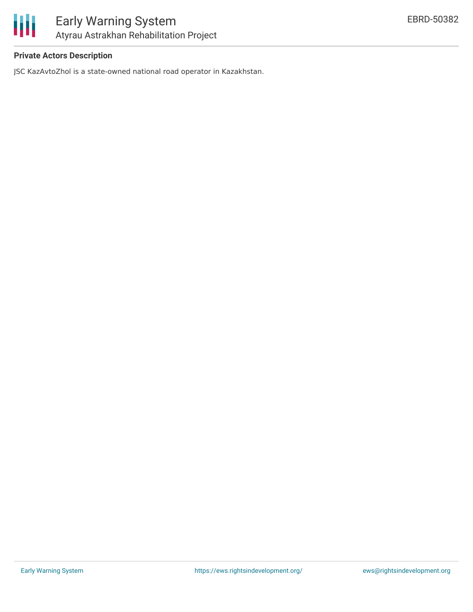

#### **Private Actors Description**

JSC KazAvtoZhol is a state-owned national road operator in Kazakhstan.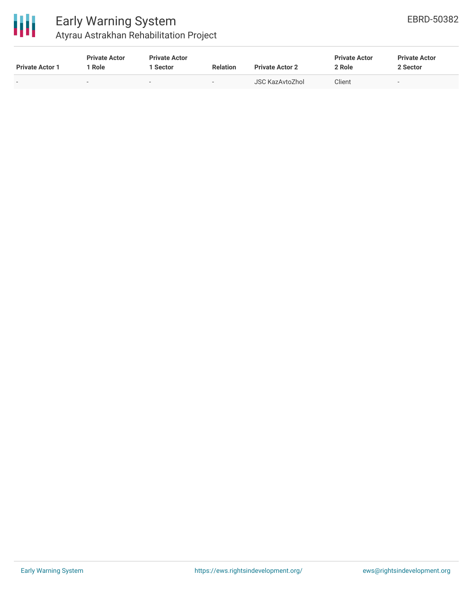

### Early Warning System Atyrau Astrakhan Rehabilitation Project

| <b>Private Actor 1</b> | <b>Private Actor</b><br>Role | <b>Private Actor</b><br>1 Sector | <b>Relation</b>          | <b>Private Actor 2</b> | <b>Private Actor</b><br>2 Role | <b>Private Actor</b><br>2 Sector |
|------------------------|------------------------------|----------------------------------|--------------------------|------------------------|--------------------------------|----------------------------------|
| $\,$                   | $\overline{\phantom{0}}$     | . .                              | $\overline{\phantom{0}}$ | <b>JSC KazAvtoZhol</b> | Client                         | $\sim$                           |